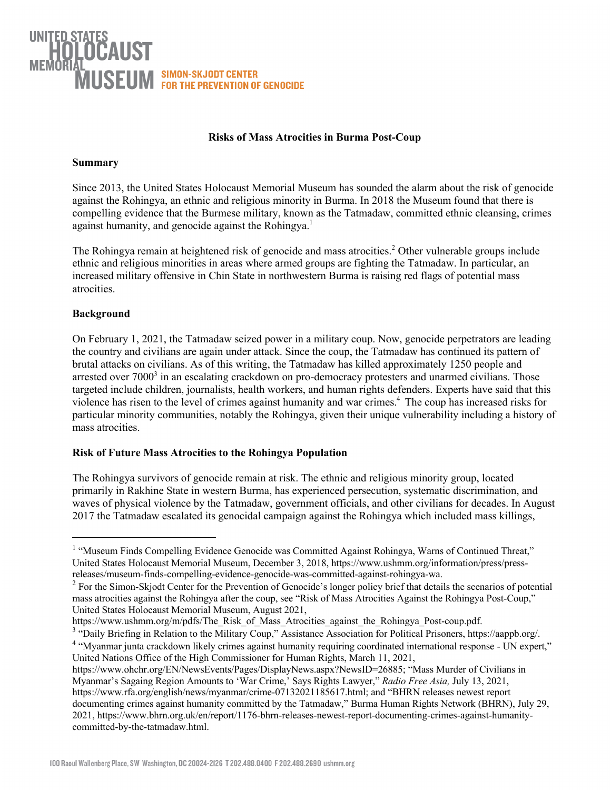# USEUM SIMON-SKJODT CENTER<br>USEUM FOR THE PREVENTION OF GENOCIDE

### **Risks of Mass Atrocities in Burma Post-Coup**

### **Summary**

Since 2013, the United States Holocaust Memorial Museum has sounded the alarm about the risk of genocide against the Rohingya, an ethnic and religious minority in Burma. In 2018 the Museum found that there is compelling evidence that the Burmese military, known as the Tatmadaw, committed ethnic cleansing, crimes against humanity, and genocide against the Rohingya.<sup>1</sup>

The Rohingya remain at heightened risk of genocide and mass atrocities.<sup>2</sup> Other vulnerable groups include ethnic and religious minorities in areas where armed groups are fighting the Tatmadaw. In particular, an increased military offensive in Chin State in northwestern Burma is raising red flags of potential mass atrocities.

## **Background**

On February 1, 2021, the Tatmadaw seized power in a military coup. Now, genocide perpetrators are leading the country and civilians are again under attack. Since the coup, the Tatmadaw has continued its pattern of brutal attacks on civilians. As of this writing, the Tatmadaw has killed approximately 1250 people and arrested over 7000<sup>3</sup> in an escalating crackdown on pro-democracy protesters and unarmed civilians. Those targeted include children, journalists, health workers, and human rights defenders. Experts have said that this violence has risen to the level of crimes against humanity and war crimes.4 The coup has increased risks for particular minority communities, notably the Rohingya, given their unique vulnerability including a history of mass atrocities.

# **Risk of Future Mass Atrocities to the Rohingya Population**

The Rohingya survivors of genocide remain at risk. The ethnic and religious minority group, located primarily in Rakhine State in western Burma, has experienced persecution, systematic discrimination, and waves of physical violence by the Tatmadaw, government officials, and other civilians for decades. In August 2017 the Tatmadaw escalated its genocidal campaign against the Rohingya which included mass killings,

<sup>&</sup>lt;sup>1</sup> "Museum Finds Compelling Evidence Genocide was Committed Against Rohingya, Warns of Continued Threat," United States Holocaust Memorial Museum, December 3, 2018, https://www.ushmm.org/information/press/pressreleases/museum-finds-compelling-evidence-genocide-was-committed-against-rohingya-wa.

<sup>&</sup>lt;sup>2</sup> For the Simon-Skjodt Center for the Prevention of Genocide's longer policy brief that details the scenarios of potential mass atrocities against the Rohingya after the coup, see "Risk of Mass Atrocities Against the Rohingya Post-Coup," United States Holocaust Memorial Museum, August 2021,

https://www.ushmm.org/m/pdfs/The\_Risk\_of\_Mass\_Atrocities\_against\_the\_Rohingya\_Post-coup.pdf.

<sup>&</sup>lt;sup>3</sup> "Daily Briefing in Relation to the Military Coup," Assistance Association for Political Prisoners, https://aappb.org/.

<sup>4</sup> "Myanmar junta crackdown likely crimes against humanity requiring coordinated international response - UN expert," United Nations Office of the High Commissioner for Human Rights, March 11, 2021,

https://www.ohchr.org/EN/NewsEvents/Pages/DisplayNews.aspx?NewsID=26885; "Mass Murder of Civilians in Myanmar's Sagaing Region Amounts to 'War Crime,' Says Rights Lawyer," *Radio Free Asia,* July 13, 2021, https://www.rfa.org/english/news/myanmar/crime-07132021185617.html; and "BHRN releases newest report documenting crimes against humanity committed by the Tatmadaw," Burma Human Rights Network (BHRN), July 29, 2021, https://www.bhrn.org.uk/en/report/1176-bhrn-releases-newest-report-documenting-crimes-against-humanitycommitted-by-the-tatmadaw.html.